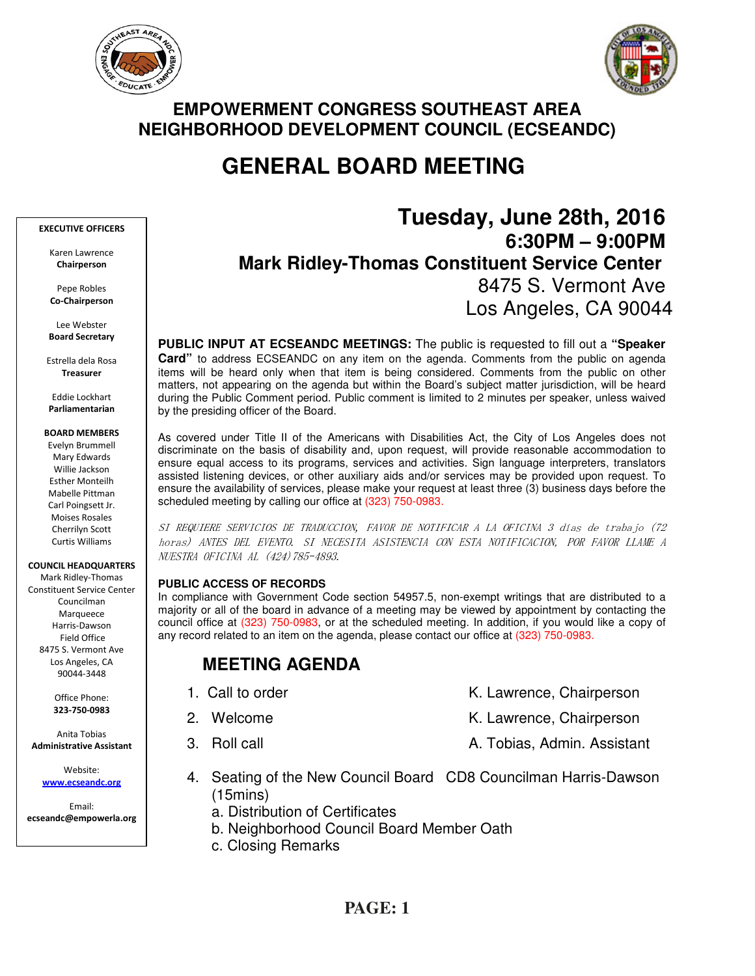



## **EMPOWERMENT CONGRESS SOUTHEAST AREA NEIGHBORHOOD DEVELOPMENT COUNCIL (ECSEANDC)**

# **GENERAL BOARD MEETING**

#### EXECUTIVE OFFICERS

Karen Lawrence Chairperson

Pepe Robles Co-Chairperson

Lee Webster Board Secretary

Estrella dela Rosa Treasurer

Eddie Lockhart Parliamentarian

#### BOARD MEMBERS

Evelyn Brummell Mary Edwards Willie Jackson Esther Monteilh Mabelle Pittman Carl Poingsett Jr. Moises Rosales Cherrilyn Scott Curtis Williams

COUNCIL HEADQUARTERS

Mark Ridley-Thomas Constituent Service Center Councilman Marqueece Harris-Dawson Field Office 8475 S. Vermont Ave Los Angeles, CA 90044-3448

> Office Phone: 323-750-0983

Anita Tobias Administrative Assistant

Website: www.ecseandc.org

Email: ecseandc@empowerla.org

# **Tuesday, June 28th, 2016 6:30PM – 9:00PM Mark Ridley-Thomas Constituent Service Center**  8475 S. Vermont Ave Los Angeles, CA 90044

**PUBLIC INPUT AT ECSEANDC MEETINGS:** The public is requested to fill out a **"Speaker Card"** to address ECSEANDC on any item on the agenda. Comments from the public on agenda items will be heard only when that item is being considered. Comments from the public on other matters, not appearing on the agenda but within the Board's subject matter jurisdiction, will be heard during the Public Comment period. Public comment is limited to 2 minutes per speaker, unless waived by the presiding officer of the Board.

As covered under Title II of the Americans with Disabilities Act, the City of Los Angeles does not discriminate on the basis of disability and, upon request, will provide reasonable accommodation to ensure equal access to its programs, services and activities. Sign language interpreters, translators assisted listening devices, or other auxiliary aids and/or services may be provided upon request. To ensure the availability of services, please make your request at least three (3) business days before the scheduled meeting by calling our office at (323) 750-0983.

SI REQUIERE SERVICIOS DE TRADUCCION, FAVOR DE NOTIFICAR A LA OFICINA 3 días de trabajo (72 horas) ANTES DEL EVENTO. SI NECESITA ASISTENCIA CON ESTA NOTIFICACION, POR FAVOR LLAME A NUESTRA OFICINA AL (424)785-4893.

### **PUBLIC ACCESS OF RECORDS**

In compliance with Government Code section 54957.5, non-exempt writings that are distributed to a majority or all of the board in advance of a meeting may be viewed by appointment by contacting the council office at (323) 750-0983, or at the scheduled meeting. In addition, if you would like a copy of any record related to an item on the agenda, please contact our office at (323) 750-0983.

## **MEETING AGENDA**

- 1. Call to order The Call to order The Chairperson K. Lawrence, Chairperson
- 2. Welcome **K. Lawrence, Chairperson**
- 3. Roll call **A. Tobias, Admin. Assistant**
- 4. Seating of the New Council Board CD8 Councilman Harris-Dawson (15mins)
	- a. Distribution of Certificates
	- b. Neighborhood Council Board Member Oath
	- c. Closing Remarks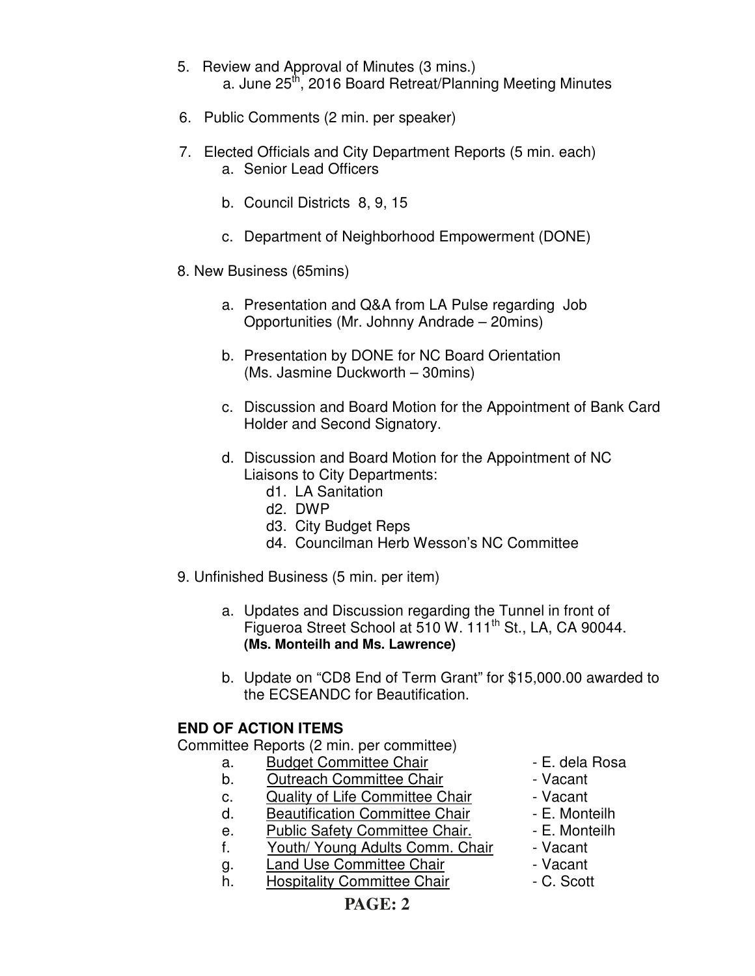- 5. Review and Approval of Minutes (3 mins.) a. June 25<sup>th</sup>, 2016 Board Retreat/Planning Meeting Minutes
- 6. Public Comments (2 min. per speaker)
- 7. Elected Officials and City Department Reports (5 min. each) a. Senior Lead Officers
	- b. Council Districts 8, 9, 15
	- c. Department of Neighborhood Empowerment (DONE)
- 8. New Business (65mins)
	- a. Presentation and Q&A from LA Pulse regarding Job Opportunities (Mr. Johnny Andrade – 20mins)
	- b. Presentation by DONE for NC Board Orientation (Ms. Jasmine Duckworth – 30mins)
	- c. Discussion and Board Motion for the Appointment of Bank Card Holder and Second Signatory.
	- d. Discussion and Board Motion for the Appointment of NC Liaisons to City Departments:
		- d1. LA Sanitation
		- d2. DWP
		- d3. City Budget Reps
		- d4. Councilman Herb Wesson's NC Committee
- 9. Unfinished Business (5 min. per item)
	- a. Updates and Discussion regarding the Tunnel in front of Figueroa Street School at 510 W. 111<sup>th</sup> St., LA, CA 90044. **(Ms. Monteilh and Ms. Lawrence)**
	- b. Update on "CD8 End of Term Grant" for \$15,000.00 awarded to the ECSEANDC for Beautification.

## **END OF ACTION ITEMS**

Committee Reports (2 min. per committee)

- a. Budget Committee Chair  **E. dela Rosa**
- b. Outreach Committee Chair **Daniel Example 1** Vacant
- c. Quality of Life Committee Chair Vacant
- d. Beautification Committee Chair E. Monteilh
- e. Public Safety Committee Chair. E. Monteilh
- f. Youth/ Young Adults Comm. Chair Vacant
- g. Land Use Committee Chair **1988** Vacant
- h. Hospitality Committee Chair  **C. Scott**
- 
- 
- 
- 
- 
- 
- 
-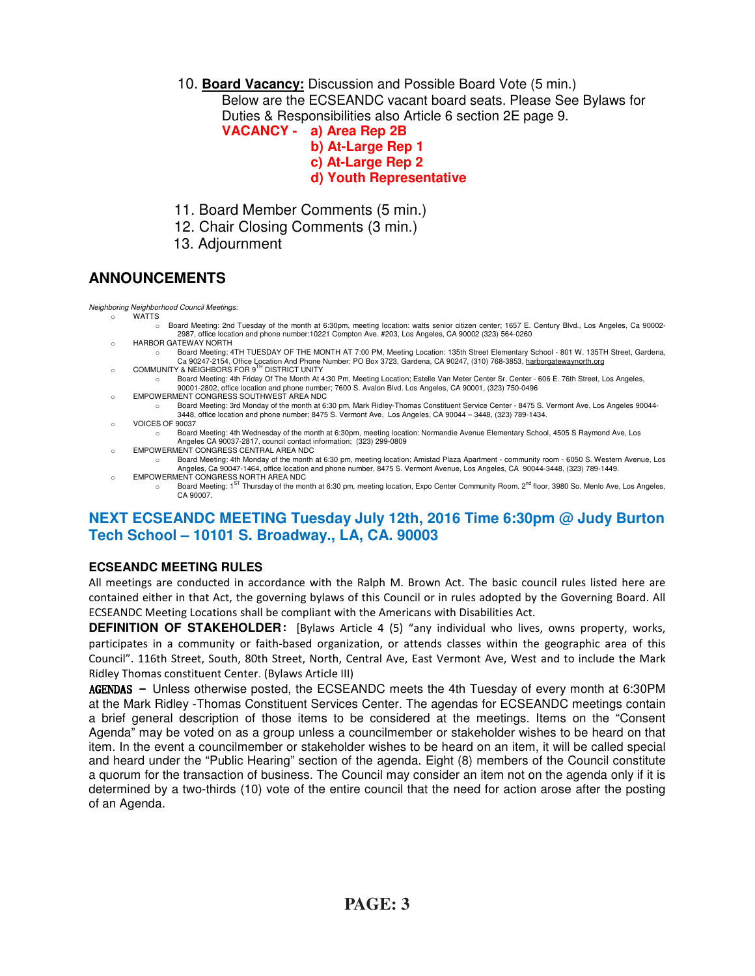10. **Board Vacancy:** Discussion and Possible Board Vote (5 min.)

Below are the ECSEANDC vacant board seats. Please See Bylaws for Duties & Responsibilities also Article 6 section 2E page 9.

- **VACANCY a) Area Rep 2B** 
	- **b) At-Large Rep 1**
	- **c) At-Large Rep 2**
	- **d) Youth Representative**
- 11. Board Member Comments (5 min.)
- 12. Chair Closing Comments (3 min.)
- 13. Adjournment

## **ANNOUNCEMENTS**

Neighboring Neighborhood Council Meetings: o WATTS

- o Board Meeting: 2nd Tuesday of the month at 6:30pm, meeting location: watts senior citizen center; 1657 E. Century Blvd., Los Angeles, Ca 90002- 2987, office location and phone number:10221 Compton Ave. #203, Los Angeles, CA 90002 (323) 564-0260
- o HARBOR GATEWAY NORTH
- o Board Meeting: 4TH TUESDAY OF THE MONTH AT 7:00 PM, Meeting Location: 135th Street Elementary School 801 W. 135TH Street, Gardena, Ca 90247-2154, Office Location And Phone Number: PO Box 3723, Gardena, CA 90247, (310) 768-3853, harborgatewaynorth.org COMMUNITY & NEIGHBORS FOR 9<sup>TH</sup> DISTRICT UNITY
- o Board Meeting: 4th Friday Of The Month At 4:30 Pm, Meeting Location; Estelle Van Meter Center Sr. Center 606 E. 76th Street, Los Angeles, 90001-2802, office location and phone number; 7600 S. Avalon Blvd. Los Angeles, CA 90001, (323) 750-0496
- o EMPOWERMENT CONGRESS SOUTHWEST AREA NDC
	- o Board Meeting: 3rd Monday of the month at 6:30 pm, Mark Ridley-Thomas Constituent Service Center 8475 S. Vermont Ave, Los Angeles 90044- 3448, office location and phone number; 8475 S. Vermont Ave, Los Angeles, CA 90044 – 3448, (323) 789-1434.
- o VOICES OF 90037
	- o Board Meeting: 4th Wednesday of the month at 6:30pm, meeting location: Normandie Avenue Elementary School, 4505 S Raymond Ave, Los Angeles CA 90037-2817, council contact information; (323) 299-0809
- o EMPOWERMENT CONGRESS CENTRAL AREA NDC
- o Board Meeting: 4th Monday of the month at 6:30 pm, meeting location; Amistad Plaza Apartment community room 6050 S. Western Avenue, Los Angeles, Ca 90047-1464, office location and phone number, 8475 S. Vermont Avenue, Los Angeles, CA 90044-3448, (323) 789-1449. o EMPOWERMENT CONGRESS NORTH AREA NDC
- o Board Meeting: 1<sup>ST</sup> Thursday of the month at 6:30 pm, meeting location, Expo Center Community Room. 2<sup>nd</sup> floor, 3980 So. Menlo Ave, Los Angeles, CA 90007.

## **NEXT ECSEANDC MEETING Tuesday July 12th, 2016 Time 6:30pm @ Judy Burton Tech School – 10101 S. Broadway., LA, CA. 90003**

### **ECSEANDC MEETING RULES**

All meetings are conducted in accordance with the Ralph M. Brown Act. The basic council rules listed here are contained either in that Act, the governing bylaws of this Council or in rules adopted by the Governing Board. All ECSEANDC Meeting Locations shall be compliant with the Americans with Disabilities Act.

**DEFINITION OF STAKEHOLDER**: [Bylaws Article 4 (5) "any individual who lives, owns property, works, participates in a community or faith-based organization, or attends classes within the geographic area of this Council". 116th Street, South, 80th Street, North, Central Ave, East Vermont Ave, West and to include the Mark Ridley Thomas constituent Center. (Bylaws Article III)

 $AGENDAS -$  Unless otherwise posted, the ECSEANDC meets the 4th Tuesday of every month at 6:30PM at the Mark Ridley -Thomas Constituent Services Center. The agendas for ECSEANDC meetings contain a brief general description of those items to be considered at the meetings. Items on the "Consent Agenda" may be voted on as a group unless a councilmember or stakeholder wishes to be heard on that item. In the event a councilmember or stakeholder wishes to be heard on an item, it will be called special and heard under the "Public Hearing" section of the agenda. Eight (8) members of the Council constitute a quorum for the transaction of business. The Council may consider an item not on the agenda only if it is determined by a two-thirds (10) vote of the entire council that the need for action arose after the posting of an Agenda.